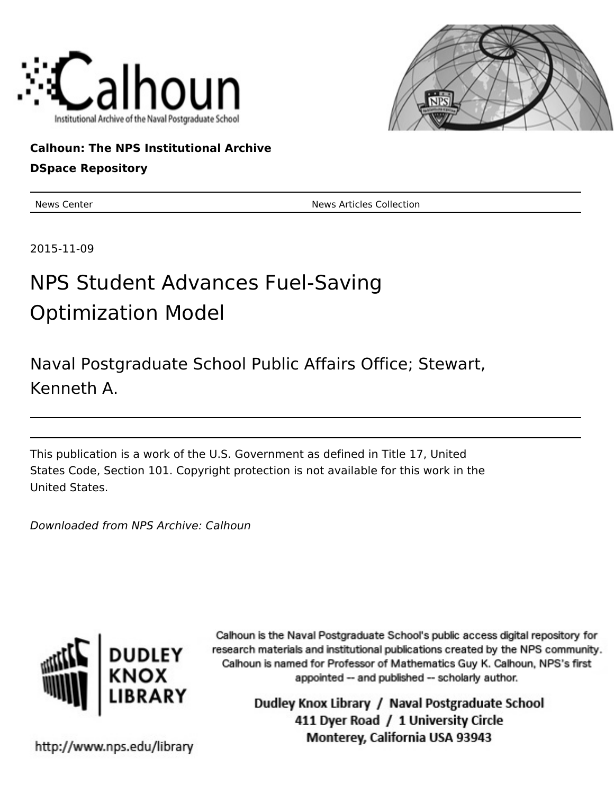



## **Calhoun: The NPS Institutional Archive**

### **DSpace Repository**

News Center News Articles Collection

2015-11-09

# NPS Student Advances Fuel-Saving Optimization Model

Naval Postgraduate School Public Affairs Office; Stewart, Kenneth A.

This publication is a work of the U.S. Government as defined in Title 17, United States Code, Section 101. Copyright protection is not available for this work in the United States.

Downloaded from NPS Archive: Calhoun



Calhoun is the Naval Postgraduate School's public access digital repository for research materials and institutional publications created by the NPS community. Calhoun is named for Professor of Mathematics Guy K. Calhoun, NPS's first appointed -- and published -- scholarly author.

> Dudley Knox Library / Naval Postgraduate School 411 Dyer Road / 1 University Circle Monterey, California USA 93943

http://www.nps.edu/library